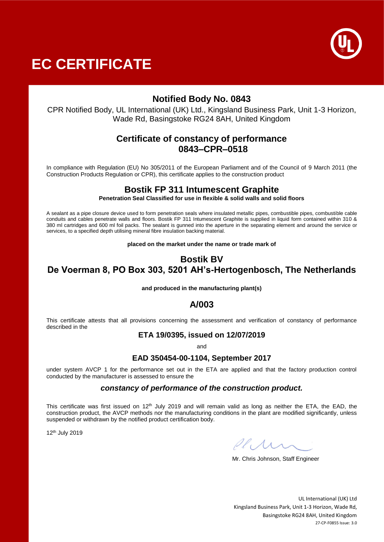



# **Notified Body No. 0843**

CPR Notified Body, UL International (UK) Ltd., Kingsland Business Park, Unit 1-3 Horizon, Wade Rd, Basingstoke RG24 8AH, United Kingdom

## **Certificate of constancy of performance 0843–CPR–0518**

In compliance with Regulation (EU) No 305/2011 of the European Parliament and of the Council of 9 March 2011 (the Construction Products Regulation or CPR), this certificate applies to the construction product

## **Bostik FP 311 Intumescent Graphite**

**Penetration Seal Classified for use in flexible & solid walls and solid floors**

A sealant as a pipe closure device used to form penetration seals where insulated metallic pipes, combustible pipes, combustible cable conduits and cables penetrate walls and floors. Bostik FP 311 Intumescent Graphite is supplied in liquid form contained within 310 & 380 ml cartridges and 600 ml foil packs. The sealant is gunned into the aperture in the separating element and around the service or services, to a specified depth utilising mineral fibre insulation backing material.

**placed on the market under the name or trade mark of**

# **Bostik BV De Voerman 8, PO Box 303, 5201 AH's-Hertogenbosch, The Netherlands**

#### **and produced in the manufacturing plant(s)**

## **A/003**

This certificate attests that all provisions concerning the assessment and verification of constancy of performance described in the

## **ETA 19/0395, issued on 12/07/2019**

and

### **EAD 350454-00-1104, September 2017**

under system AVCP 1 for the performance set out in the ETA are applied and that the factory production control conducted by the manufacturer is assessed to ensure the

#### *constancy of performance of the construction product.*

This certificate was first issued on 12<sup>th</sup> July 2019 and will remain valid as long as neither the ETA, the EAD, the construction product, the AVCP methods nor the manufacturing conditions in the plant are modified significantly, unless suspended or withdrawn by the notified product certification body.

12th July 2019

Plini

Mr. Chris Johnson, Staff Engineer

UL International (UK) Ltd Kingsland Business Park, Unit 1-3 Horizon, Wade Rd, Basingstoke RG24 8AH, United Kingdom 27-CP-F0855 Issue: 3.0